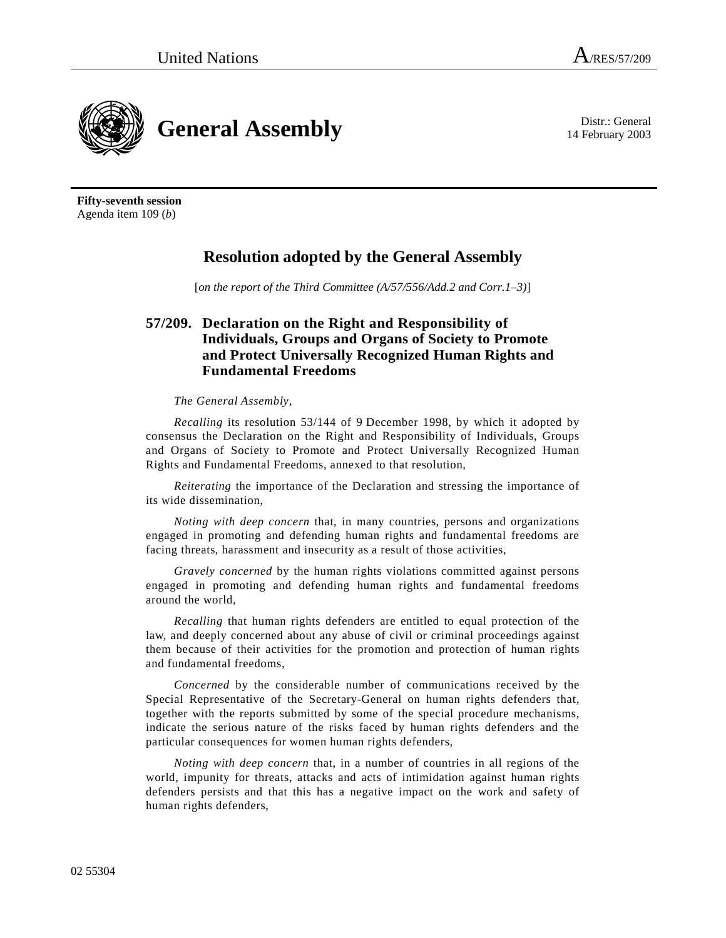14 February 2003



**Fifty-seventh session**  Agenda item 109 (*b*)

## **Resolution adopted by the General Assembly**

[*on the report of the Third Committee (A/57/556/Add.2 and Corr.1–3)*]

## **57/209. Declaration on the Right and Responsibility of Individuals, Groups and Organs of Society to Promote and Protect Universally Recognized Human Rights and Fundamental Freedoms**

## *The General Assembly*,

*Recalling* its resolution 53/144 of 9 December 1998, by which it adopted by consensus the Declaration on the Right and Responsibility of Individuals, Groups and Organs of Society to Promote and Protect Universally Recognized Human Rights and Fundamental Freedoms, annexed to that resolution,

 *Reiterating* the importance of the Declaration and stressing the importance of its wide dissemination,

*Noting with deep concern* that, in many countries, persons and organizations engaged in promoting and defending human rights and fundamental freedoms are facing threats, harassment and insecurity as a result of those activities,

*Gravely concerned* by the human rights violations committed against persons engaged in promoting and defending human rights and fundamental freedoms around the world,

*Recalling* that human rights defenders are entitled to equal protection of the law, and deeply concerned about any abuse of civil or criminal proceedings against them because of their activities for the promotion and protection of human rights and fundamental freedoms,

*Concerned* by the considerable number of communications received by the Special Representative of the Secretary-General on human rights defenders that, together with the reports submitted by some of the special procedure mechanisms, indicate the serious nature of the risks faced by human rights defenders and the particular consequences for women human rights defenders,

*Noting with deep concern* that, in a number of countries in all regions of the world, impunity for threats, attacks and acts of intimidation against human rights defenders persists and that this has a negative impact on the work and safety of human rights defenders,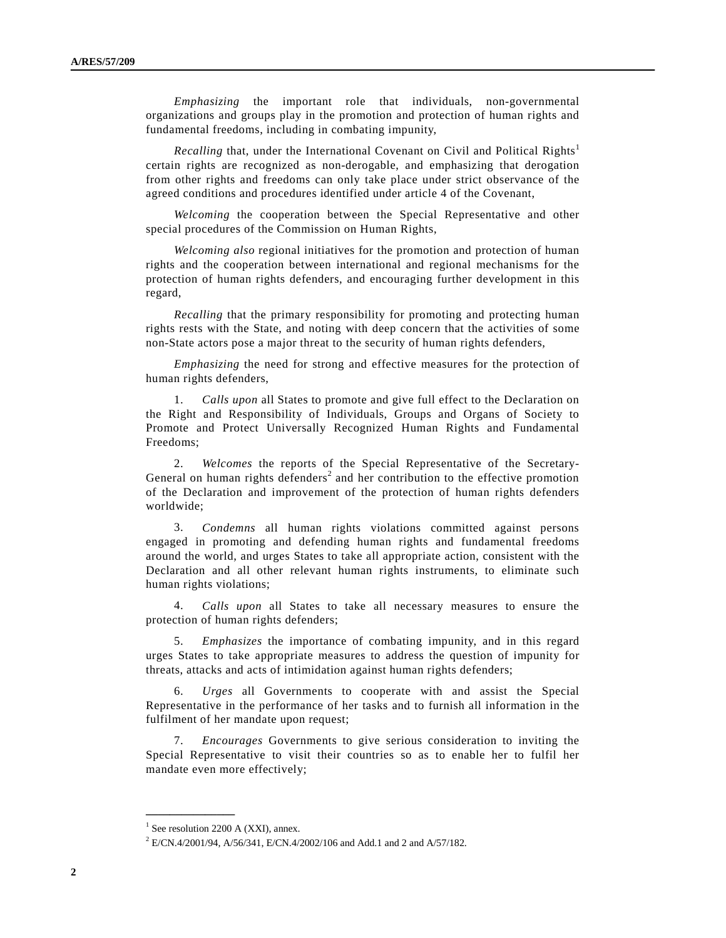*Emphasizing* the important role that individuals, non-governmental organizations and groups play in the promotion and protection of human rights and fundamental freedoms, including in combating impunity,

*Recalling* that, under the International Covenant on Civil and Political Rights<sup>1</sup> certain rights are recognized as non-derogable, and emphasizing that derogation from other rights and freedoms can only take place under strict observance of the agreed conditions and procedures identified under article 4 of the Covenant,

*Welcoming* the cooperation between the Special Representative and other special procedures of the Commission on Human Rights,

*Welcoming also* regional initiatives for the promotion and protection of human rights and the cooperation between international and regional mechanisms for the protection of human rights defenders, and encouraging further development in this regard,

*Recalling* that the primary responsibility for promoting and protecting human rights rests with the State, and noting with deep concern that the activities of some non-State actors pose a major threat to the security of human rights defenders,

*Emphasizing* the need for strong and effective measures for the protection of human rights defenders,

 1. *Calls upon* all States to promote and give full effect to the Declaration on the Right and Responsibility of Individuals, Groups and Organs of Society to Promote and Protect Universally Recognized Human Rights and Fundamental Freedoms;

 2. *Welcomes* the reports of the Special Representative of the Secretary-General on human rights defenders<sup>2</sup> and her contribution to the effective promotion of the Declaration and improvement of the protection of human rights defenders worldwide;

 3. *Condemns* all human rights violations committed against persons engaged in promoting and defending human rights and fundamental freedoms around the world, and urges States to take all appropriate action, consistent with the Declaration and all other relevant human rights instruments, to eliminate such human rights violations;

 4. *Calls upon* all States to take all necessary measures to ensure the protection of human rights defenders;

 5. *Emphasizes* the importance of combating impunity, and in this regard urges States to take appropriate measures to address the question of impunity for threats, attacks and acts of intimidation against human rights defenders;

 6. *Urges* all Governments to cooperate with and assist the Special Representative in the performance of her tasks and to furnish all information in the fulfilment of her mandate upon request;

 7. *Encourages* Governments to give serious consideration to inviting the Special Representative to visit their countries so as to enable her to fulfil her mandate even more effectively;

**\_\_\_\_\_\_\_\_\_\_\_\_\_\_\_** 

<sup>&</sup>lt;sup>1</sup> See resolution 2200 A (XXI), annex.

 $2$  E/CN.4/2001/94, A/56/341, E/CN.4/2002/106 and Add.1 and 2 and A/57/182.